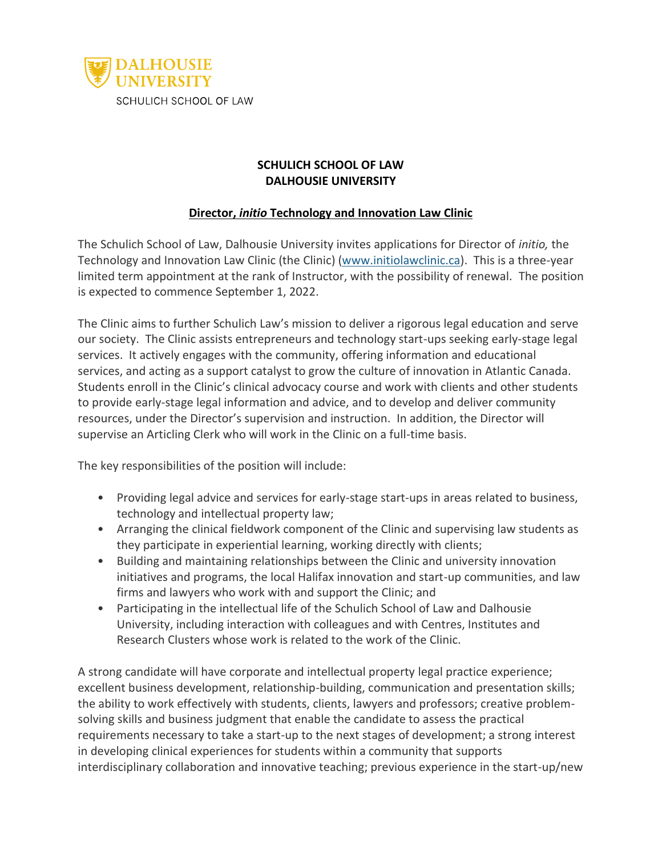

## **SCHULICH SCHOOL OF LAW DALHOUSIE UNIVERSITY**

## **Director,** *initio* **Technology and Innovation Law Clinic**

The Schulich School of Law, Dalhousie University invites applications for Director of *initio,* the Technology and Innovation Law Clinic (the Clinic) [\(www.initiolawclinic.ca\)](http://www.initiolawclinic.ca/). This is a three-year limited term appointment at the rank of Instructor, with the possibility of renewal. The position is expected to commence September 1, 2022.

The Clinic aims to further Schulich Law's mission to deliver a rigorous legal education and serve our society. The Clinic assists entrepreneurs and technology start-ups seeking early-stage legal services. It actively engages with the community, offering information and educational services, and acting as a support catalyst to grow the culture of innovation in Atlantic Canada. Students enroll in the Clinic's clinical advocacy course and work with clients and other students to provide early-stage legal information and advice, and to develop and deliver community resources, under the Director's supervision and instruction. In addition, the Director will supervise an Articling Clerk who will work in the Clinic on a full-time basis.

The key responsibilities of the position will include:

- Providing legal advice and services for early-stage start-ups in areas related to business, technology and intellectual property law;
- Arranging the clinical fieldwork component of the Clinic and supervising law students as they participate in experiential learning, working directly with clients;
- Building and maintaining relationships between the Clinic and university innovation initiatives and programs, the local Halifax innovation and start-up communities, and law firms and lawyers who work with and support the Clinic; and
- Participating in the intellectual life of the Schulich School of Law and Dalhousie University, including interaction with colleagues and with Centres, Institutes and Research Clusters whose work is related to the work of the Clinic.

A strong candidate will have corporate and intellectual property legal practice experience; excellent business development, relationship-building, communication and presentation skills; the ability to work effectively with students, clients, lawyers and professors; creative problemsolving skills and business judgment that enable the candidate to assess the practical requirements necessary to take a start-up to the next stages of development; a strong interest in developing clinical experiences for students within a community that supports interdisciplinary collaboration and innovative teaching; previous experience in the start-up/new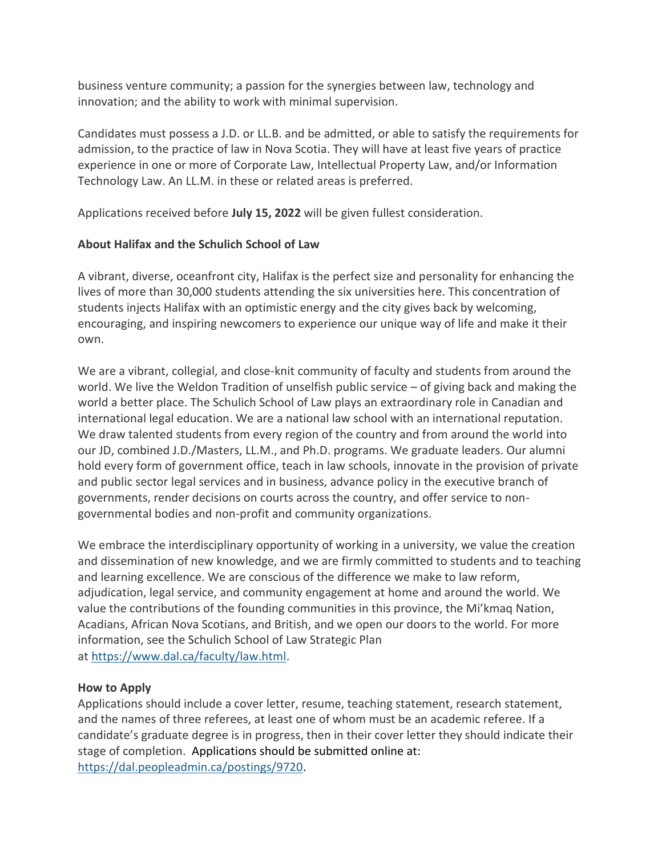business venture community; a passion for the synergies between law, technology and innovation; and the ability to work with minimal supervision.

Candidates must possess a J.D. or LL.B. and be admitted, or able to satisfy the requirements for admission, to the practice of law in Nova Scotia. They will have at least five years of practice experience in one or more of Corporate Law, Intellectual Property Law, and/or Information Technology Law. An LL.M. in these or related areas is preferred.

Applications received before **July 15, 2022** will be given fullest consideration.

## **About Halifax and the Schulich School of Law**

A vibrant, diverse, oceanfront city, Halifax is the perfect size and personality for enhancing the lives of more than 30,000 students attending the six universities here. This concentration of students injects Halifax with an optimistic energy and the city gives back by welcoming, encouraging, and inspiring newcomers to experience our unique way of life and make it their own.

We are a vibrant, collegial, and close-knit community of faculty and students from around the world. We live the Weldon Tradition of unselfish public service – of giving back and making the world a better place. The Schulich School of Law plays an extraordinary role in Canadian and international legal education. We are a national law school with an international reputation. We draw talented students from every region of the country and from around the world into our JD, combined J.D./Masters, LL.M., and Ph.D. programs. We graduate leaders. Our alumni hold every form of government office, teach in law schools, innovate in the provision of private and public sector legal services and in business, advance policy in the executive branch of governments, render decisions on courts across the country, and offer service to nongovernmental bodies and non-profit and community organizations.

We embrace the interdisciplinary opportunity of working in a university, we value the creation and dissemination of new knowledge, and we are firmly committed to students and to teaching and learning excellence. We are conscious of the difference we make to law reform, adjudication, legal service, and community engagement at home and around the world. We value the contributions of the founding communities in this province, the Mi'kmaq Nation, Acadians, African Nova Scotians, and British, and we open our doors to the world. For more information, see the Schulich School of Law Strategic Plan at [https://www.dal.ca/faculty/law.html.](https://www.dal.ca/faculty/law.html)

## **How to Apply**

Applications should include a cover letter, resume, teaching statement, research statement, and the names of three referees, at least one of whom must be an academic referee. If a candidate's graduate degree is in progress, then in their cover letter they should indicate their stage of completion. Applications should be submitted online at: [https://dal.peopleadmin.ca/postings/9720.](https://dal.peopleadmin.ca/postings/9720)